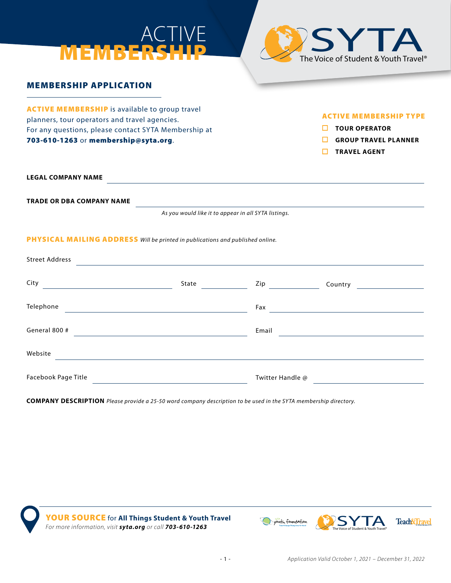



## MEMBERSHIP APPLICATION

**ACTIVE MEMBERSHIP** is available to group travel planners, tour operators and travel agencies. For any questions, please contact SYTA Membership at 703-610-1263 or membership@syta.org.

#### ACTIVE MEMBERSHIP TYPE

- **TOUR OPERATOR**
- **GROUP TRAVEL PLANNER**
- **TRAVEL AGENT**

**LEGAL COMPANY NAME**

**TRADE OR DBA COMPANY NAME**

*As you would like it to appear in all SYTA listings.*

#### PHYSICAL MAILING ADDRESS *Will be printed in publications and published online.*

| <b>Street Address</b>                                                                                                         |                               |                            |         |
|-------------------------------------------------------------------------------------------------------------------------------|-------------------------------|----------------------------|---------|
| City<br><u> 1989 - Johann Harry Harry Harry Harry Harry Harry Harry Harry Harry Harry Harry Harry Harry Harry Harry Harry</u> | State<br><u>and the state</u> | Zip $\qquad \qquad \qquad$ | Country |
| Telephone<br>the control of the control of the control of the control of the control of the control of                        |                               | Fax                        |         |
| General 800 #                                                                                                                 |                               | Email                      |         |
| Website                                                                                                                       |                               |                            |         |
| Facebook Page Title                                                                                                           |                               | Twitter Handle @           |         |

**COMPANY DESCRIPTION** *Please provide a 25-50 word company description to be used in the SYTA membership directory.*



YOUR SOURCE for **All Things Student & Youth Travel** *FOUR SOURCE TOR AIL Inings Student & Youth Iravel*<br>For more information, visit **syta.org** or call **703-610-1263** 

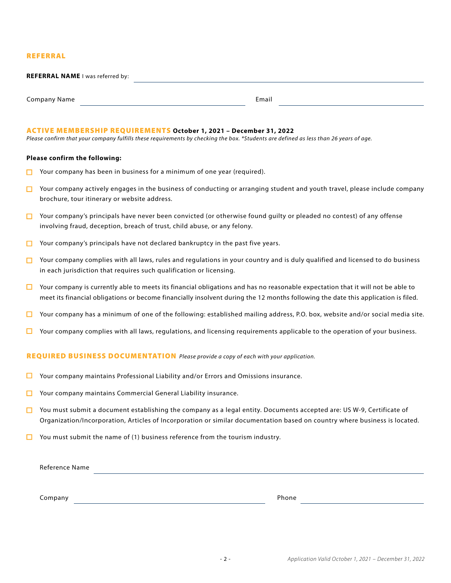#### REFERRAL

| <b>REFERRAL NAME I was referred by:</b> |  |       |  |
|-----------------------------------------|--|-------|--|
|                                         |  |       |  |
| Company Name                            |  | Email |  |

#### ACTIVE MEMBERSHIP REQUIREMENTS **October 1, 2021 – December 31, 2022**

*Please confirm that your company fulfills these requirements by checking the box. \*Students are defined as less than 26 years of age.*

#### **Please confirm the following:**

- Your company has been in business for a minimum of one year (required). п
- $\Box$  Your company actively engages in the business of conducting or arranging student and youth travel, please include company brochure, tour itinerary or website address.
- $\Box$  Your company's principals have never been convicted (or otherwise found quilty or pleaded no contest) of any offense involving fraud, deception, breach of trust, child abuse, or any felony.
- Your company's principals have not declared bankruptcy in the past five years. п
- Your company complies with all laws, rules and regulations in your country and is duly qualified and licensed to do business П in each jurisdiction that requires such qualification or licensing.
- $\Box$  Your company is currently able to meets its financial obligations and has no reasonable expectation that it will not be able to meet its financial obligations or become financially insolvent during the 12 months following the date this application is filed.
- $\Box$  Your company has a minimum of one of the following: established mailing address, P.O. box, website and/or social media site.
- $\Box$  Your company complies with all laws, regulations, and licensing requirements applicable to the operation of your business.

#### REQUIRED BUSINESS DOCUMENTATION *Please provide a copy of each with your application.*

- $\Box$ Your company maintains Professional Liability and/or Errors and Omissions insurance.
- □ Your company maintains Commercial General Liability insurance.
- $\Box$ You must submit a document establishing the company as a legal entity. Documents accepted are: US W-9, Certificate of Organization/Incorporation, Articles of Incorporation or similar documentation based on country where business is located.
- $\Box$  You must submit the name of (1) business reference from the tourism industry.

Reference Name

Company **Phone**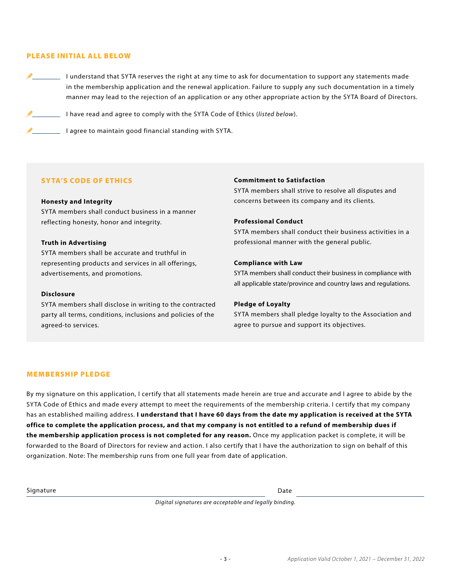#### PLEASE INITIAL ALL BELOW

I understand that SYTA reserves the right at any time to ask for documentation to support any statements made in the membership application and the renewal application. Failure to supply any such documentation in a timely manner may lead to the rejection of an application or any other appropriate action by the SYTA Board of Directors.

I have read and agree to comply with the SYTA Code of Ethics (*listed below*).

I agree to maintain good financial standing with SYTA.

#### SYTA'S CODE OF ETHICS

#### **Honesty and Integrity**

SYTA members shall conduct business in a manner reflecting honesty, honor and integrity.

#### **Truth in Advertising**

SYTA members shall be accurate and truthful in representing products and services in all offerings, advertisements, and promotions.

#### **Disclosure**

SYTA members shall disclose in writing to the contracted party all terms, conditions, inclusions and policies of the agreed-to services.

#### **Commitment to Satisfaction**

SYTA members shall strive to resolve all disputes and concerns between its company and its clients.

#### **Professional Conduct**

SYTA members shall conduct their business activities in a professional manner with the general public.

#### **Compliance with Law**

SYTA members shall conduct their business in compliance with all applicable state/province and country laws and regulations.

#### **Pledge of Loyalty**

SYTA members shall pledge loyalty to the Association and agree to pursue and support its objectives.

#### MEMBERSHIP PLEDGE

By my signature on this application, I certify that all statements made herein are true and accurate and I agree to abide by the SYTA Code of Ethics and made every attempt to meet the requirements of the membership criteria. I certify that my company has an established mailing address. **I understand that I have 60 days from the date my application is received at the SYTA office to complete the application process, and that my company is not entitled to a refund of membership dues if the membership application process is not completed for any reason.** Once my application packet is complete, it will be forwarded to the Board of Directors for review and action. I also certify that I have the authorization to sign on behalf of this organization. Note: The membership runs from one full year from date of application.

Signature Date Date of the Date of the Date of the Date of the Date of the Date of the Date of the Date of the

*Digital signatures are acceptable and legally binding.*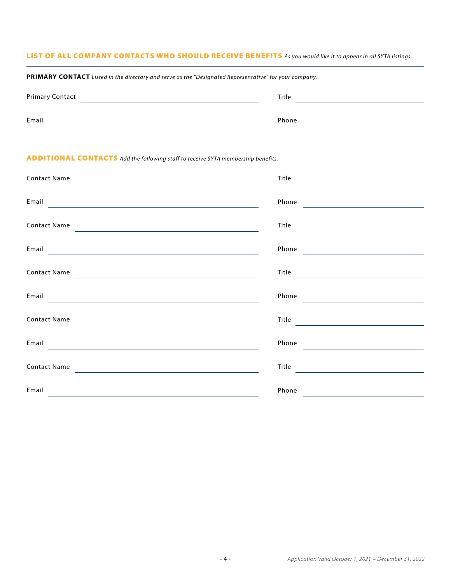### LIST OF ALL COMPANY CONTACTS WHO SHOULD RECEIVE BENEFITS *As you would like it to appear in all SYTA listings.*

| PRIMARY CONTACT Listed in the directory and serve as the "Designated Representative" for your company. |       |  |  |  |
|--------------------------------------------------------------------------------------------------------|-------|--|--|--|
| <b>Primary Contact</b>                                                                                 | Title |  |  |  |
| Email                                                                                                  | Phone |  |  |  |

#### ADDITIONAL CONTACTS *Add the following staff to receive SYTA membership benefits.*

| <b>Contact Name</b>                                                                                                                                                                                                                           | Title<br><u> 1989 - Johann Stoff, fransk politik (d. 19</u>                         |
|-----------------------------------------------------------------------------------------------------------------------------------------------------------------------------------------------------------------------------------------------|-------------------------------------------------------------------------------------|
| Email <b>Exercise Contract Contract Contract Contract Contract Contract Contract Contract Contract Contract Contract Contract Contract Contract Contract Contract Contract Contract Contract Contract Contract Contract Contract</b>          | Phone Phone                                                                         |
| <b>Contact Name</b>                                                                                                                                                                                                                           | $\begin{tabular}{c} Title\\ \hline \end{tabular}$                                   |
| Email <b>Executive Contract of the Contract of the Contract of the Contract of the Contract of the Contract of the Contract of the Contract of the Contract of the Contract of the Contract of the Contract of the Contract of t</b>          |                                                                                     |
| <b>Contact Name</b>                                                                                                                                                                                                                           |                                                                                     |
| Email<br><u> Andreas Andreas Andreas Andreas Andreas Andreas Andreas Andreas Andreas Andreas Andreas Andreas Andreas Andreas Andreas Andreas Andreas Andreas Andreas Andreas Andreas Andreas Andreas Andreas Andreas Andreas Andreas Andr</u> | Phone                                                                               |
| <b>Contact Name</b>                                                                                                                                                                                                                           | $\begin{tabular}{c} \bf Title \\ \end{tabular}$                                     |
| Email                                                                                                                                                                                                                                         | Phone<br>the control of the control of the control of the control of the control of |
| <b>Contact Name</b>                                                                                                                                                                                                                           | Title                                                                               |
| Email                                                                                                                                                                                                                                         | Phone                                                                               |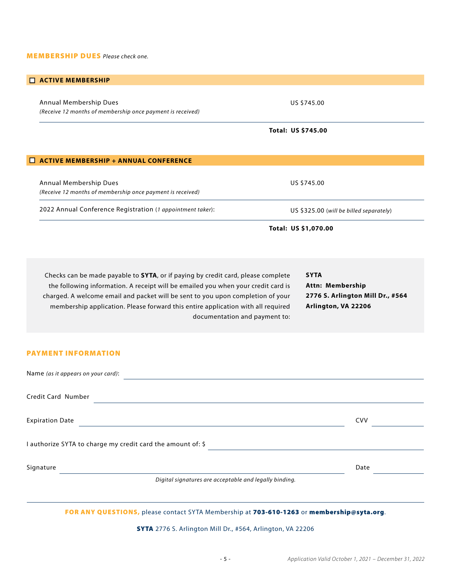#### MEMBERSHIP DUES *Please check one.*

# Checks can be made payable to **SYTA**, or if paying by credit card, please complete the following information. A receipt will be emailed you when your credit card is charged. A welcome email and packet will be sent to you upon completion of your membership application. Please forward this entire application with all required documentation and payment to: **ACTIVE MEMBERSHIP + ANNUAL CONFERENCE** Annual Membership Dues *(Receive 12 months of membership once payment is received)* 2022 Annual Conference Registration (*1 appointment taker*): US \$745.00 US \$325.00 (*will be billed separately*) **Total: US \$1,070.00 ACTIVE MEMBERSHIP** Annual Membership Dues *(Receive 12 months of membership once payment is received)* US \$745.00 **Total: US \$745.00 SYTA Attn: Membership 2776 S. Arlington Mill Dr., #564 Arlington, VA 22206**

#### PAYMENT INFORMATION

| Name (as it appears on your card):                          |            |
|-------------------------------------------------------------|------------|
| <b>Credit Card Number</b>                                   |            |
| <b>Expiration Date</b>                                      | <b>CVV</b> |
| I authorize SYTA to charge my credit card the amount of: \$ |            |
| Signature                                                   | Date       |
| Digital signatures are acceptable and legally binding.      |            |

FOR ANY QUESTIONS, please contact SYTA Membership at 703-610-1263 or membership@syta.org.

SYTA 2776 S. Arlington Mill Dr., #564, Arlington, VA 22206